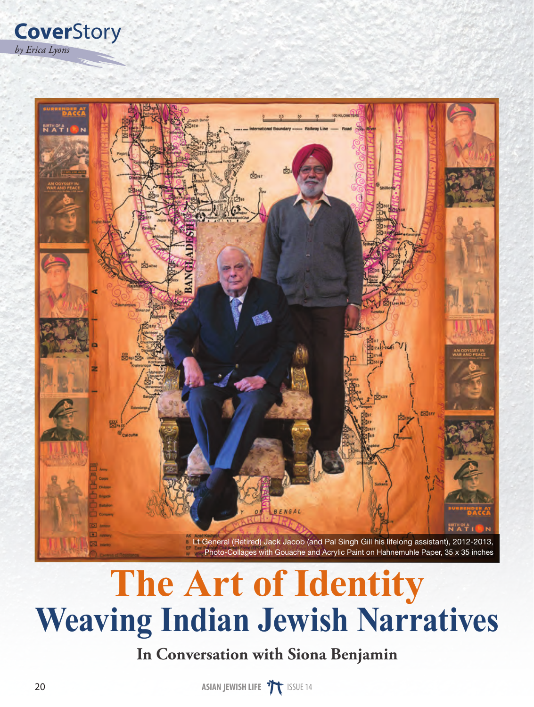*by Erica Lyons* **Cover**Story



## **The Art of Identity Weaving Indian Jewish Narratives**

## **In Conversation with Siona Benjamin**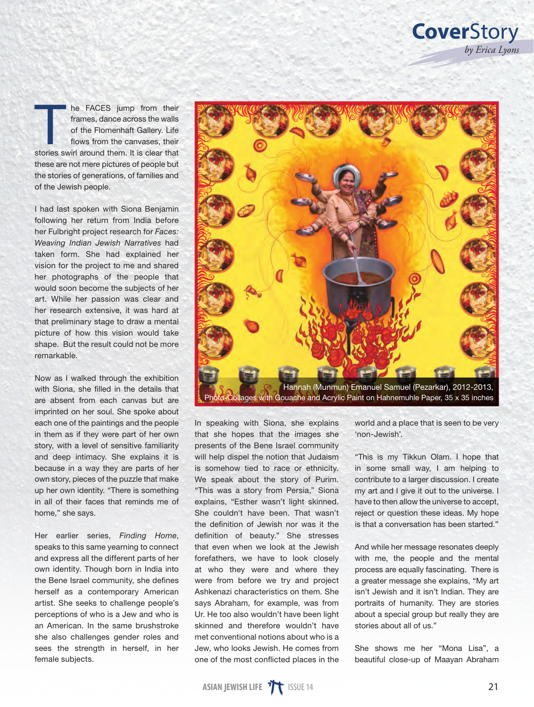the FACES jump from their<br>frames, dance across the walls<br>of the Flomenhaft Gallery. Life<br>flows from the canvases, their<br>stories swirl around them. It is clear that frames, dance across the walls of the Flomenhaft Gallery. Life flows from the canvases, their stories swirl around them. It is clear that these are not mere pictures of people but the stories of generations, of families and of the Jewish people.

I had last spoken with Siona Benjamin following her return from India before her Fulbright project research for *Faces: Weaving Indian Jewish Narratives* had taken form. She had explained her vision for the project to me and shared her photographs of the people that would soon become the subjects of her art. While her passion was clear and her research extensive, it was hard at that preliminary stage to draw a mental picture of how this vision would take shape. But the result could not be more remarkable.

Now as I walked through the exhibition with Siona, she filled in the details that are absent from each canvas but are imprinted on her soul. She spoke about each one of the paintings and the people in them as if they were part of her own story, with a level of sensitive familiarity and deep intimacy. She explains it is because in a way they are parts of her own story, pieces of the puzzle that make up her own identity. "There is something in all of their faces that reminds me of home," she says.

Her earlier series, *Finding Home*, speaks to this same yearning to connect and express all the different parts of her own identity. Though born in India into the Bene Israel community, she defines herself as a contemporary American artist. She seeks to challenge people's perceptions of who is a Jew and who is an American. In the same brushstroke she also challenges gender roles and sees the strength in herself, in her female subjects.



In speaking with Siona, she explains that she hopes that the images she presents of the Bene Israel community will help dispel the notion that Judaism is somehow tied to race or ethnicity. We speak about the story of Purim. "This was a story from Persia," Siona explains, "Esther wasn't light skinned. She couldn't have been. That wasn't the definition of Jewish nor was it the definition of beauty." She stresses that even when we look at the Jewish forefathers, we have to look closely at who they were and where they were from before we try and project Ashkenazi characteristics on them. She says Abraham, for example, was from Ur. He too also wouldn't have been light skinned and therefore wouldn't have met conventional notions about who is a Jew, who looks Jewish. He comes from one of the most conflicted places in the

world and a place that is seen to be very 'non-Jewish'.

"This is my Tikkun Olam. I hope that in some small way, I am helping to contribute to a larger discussion. I create my art and I give it out to the universe. I have to then allow the universe to accept, reject or question these ideas. My hope is that a conversation has been started."

And while her message resonates deeply with me, the people and the mental process are equally fascinating. There is a greater message she explains, "My art isn't Jewish and it isn't Indian. They are portraits of humanity. They are stories about a special group but really they are stories about all of us."

She shows me her "Mona Lisa", a beautiful close-up of Maayan Abraham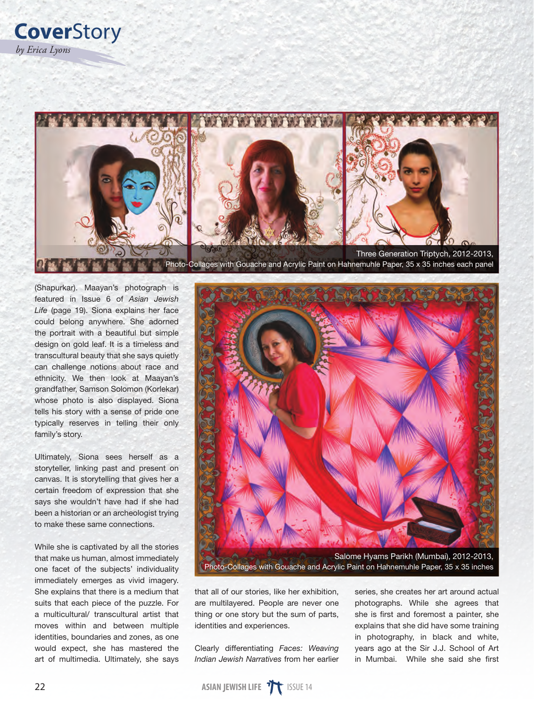

(Shapurkar). Maayan's photograph is featured in Issue 6 of *Asian Jewish Life* (page 19). Siona explains her face could belong anywhere. She adorned the portrait with a beautiful but simple design on gold leaf. It is a timeless and transcultural beauty that she says quietly can challenge notions about race and ethnicity. We then look at Maayan's grandfather, Samson Solomon (Korlekar) whose photo is also displayed. Siona tells his story with a sense of pride one typically reserves in telling their only family's story.

Ultimately, Siona sees herself as a storyteller, linking past and present on canvas. It is storytelling that gives her a certain freedom of expression that she says she wouldn't have had if she had been a historian or an archeologist trying to make these same connections.

While she is captivated by all the stories that make us human, almost immediately one facet of the subjects' individuality immediately emerges as vivid imagery. She explains that there is a medium that suits that each piece of the puzzle. For a multicultural/ transcultural artist that moves within and between multiple identities, boundaries and zones, as one would expect, she has mastered the art of multimedia. Ultimately, she says



that all of our stories, like her exhibition, are multilayered. People are never one thing or one story but the sum of parts, identities and experiences.

Clearly differentiating *Faces: Weaving Indian Jewish Narratives* from her earlier

series, she creates her art around actual photographs. While she agrees that she is first and foremost a painter, she explains that she did have some training in photography, in black and white, years ago at the Sir J.J. School of Art in Mumbai. While she said she first